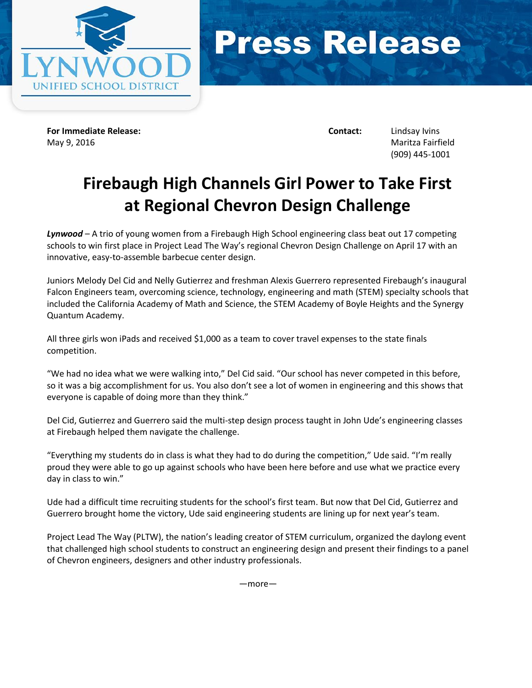



**For Immediate Release: Contact:** Lindsay Ivins May 9, 2016 Maritza Fairfield

(909) 445-1001

## **Firebaugh High Channels Girl Power to Take First at Regional Chevron Design Challenge**

*Lynwood* – A trio of young women from a Firebaugh High School engineering class beat out 17 competing schools to win first place in Project Lead The Way's regional Chevron Design Challenge on April 17 with an innovative, easy-to-assemble barbecue center design.

Juniors Melody Del Cid and Nelly Gutierrez and freshman Alexis Guerrero represented Firebaugh's inaugural Falcon Engineers team, overcoming science, technology, engineering and math (STEM) specialty schools that included the California Academy of Math and Science, the STEM Academy of Boyle Heights and the Synergy Quantum Academy.

All three girls won iPads and received \$1,000 as a team to cover travel expenses to the state finals competition.

"We had no idea what we were walking into," Del Cid said. "Our school has never competed in this before, so it was a big accomplishment for us. You also don't see a lot of women in engineering and this shows that everyone is capable of doing more than they think."

Del Cid, Gutierrez and Guerrero said the multi-step design process taught in John Ude's engineering classes at Firebaugh helped them navigate the challenge.

"Everything my students do in class is what they had to do during the competition," Ude said. "I'm really proud they were able to go up against schools who have been here before and use what we practice every day in class to win."

Ude had a difficult time recruiting students for the school's first team. But now that Del Cid, Gutierrez and Guerrero brought home the victory, Ude said engineering students are lining up for next year's team.

Project Lead The Way (PLTW), the nation's leading creator of STEM curriculum, organized the daylong event that challenged high school students to construct an engineering design and present their findings to a panel of Chevron engineers, designers and other industry professionals.

—more—